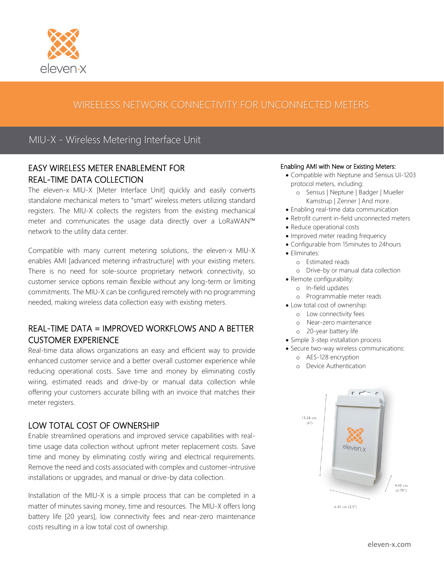

# WIREELESS NETWORK CONNECTIVITY FOR UNCONNECTED METERS

## MIU-X - Wireless Metering Interface Unit

### EASY WIRELESS METER ENABLEMENT FOR REAL-TIME DATA COLLECTION

The eleven-x MIU-X [Meter Interface Unit] quickly and easily converts standalone mechanical meters to "smart" wireless meters utilizing standard registers. The MIU-X collects the registers from the existing mechanical meter and communicates the usage data directly over a LoRaWAN™ network to the utility data center.

Compatible with many current metering solutions, the eleven-x MIU-X enables AMI [advanced metering infrastructure] with your existing meters. There is no need for sole-source proprietary network connectivity, so customer service options remain flexible without any long-term or limiting commitments. The MIU-X can be configured remotely with no programming needed, making wireless data collection easy with existing meters.

## REAL-TIME DATA = IMPROVED WORKFLOWS AND A BETTER CUSTOMER EXPERIENCE

Real-time data allows organizations an easy and efficient way to provide enhanced customer service and a better overall customer experience while reducing operational costs. Save time and money by eliminating costly wiring, estimated reads and drive-by or manual data collection while offering your customers accurate billing with an invoice that matches their meter registers.

### LOW TOTAL COST OF OWNERSHIP

Enable streamlined operations and improved service capabilities with realtime usage data collection without upfront meter replacement costs. Save time and money by eliminating costly wiring and electrical requirements. Remove the need and costs associated with complex and customer-intrusive installations or upgrades, and manual or drive-by data collection.

Installation of the MIU-X is a simple process that can be completed in a matter of minutes saving money, time and resources. The MIU-X offers long battery life [20 years], low connectivity fees and near-zero maintenance costs resulting in a low total cost of ownership.

#### Enabling AMI with New or Existing Meters:

- Compatible with Neptune and Sensus UI-1203 protocol meters, including:
	- o Sensus | Neptune | Badger | Mueller Kamstrup | Zenner | And more..
- Enabling real-time data communication
- Retrofit current in-field unconnected meters
- Reduce operational costs
- Improved meter reading frequency
- Configurable from 15minutes to 24hours
- Eliminates:
	- o Estimated reads
	- o Drive-by or manual data collection
- Remote configurability:
	- o In-field updates
	- o Programmable meter reads
- Low total cost of ownership:
	- o Low connectivity fees
	- o Near-zero maintenance
	- o 20-year battery life
- Simple 3-step installation process
- Secure two-way wireless communications:
	- o AES-128 encryption
	- o Device Authentication



6.35 cm  $(2.5")$